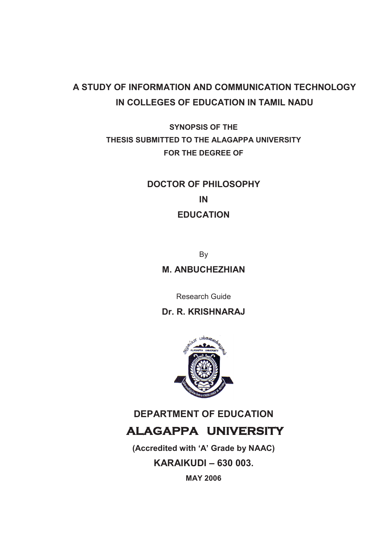# **A STUDY OF INFORMATION AND COMMUNICATION TECHNOLOGY IN COLLEGES OF EDUCATION IN TAMIL NADU**

**SYNOPSIS OF THE THESIS SUBMITTED TO THE ALAGAPPA UNIVERSITY FOR THE DEGREE OF** 

# **DOCTOR OF PHILOSOPHY IN EDUCATION**

By **M. ANBUCHEZHIAN** 

Research Guide

# **Dr. R. KRISHNARAJ**



# **DEPARTMENT OF EDUCATION ALAGAPPA UNIVERSITY**

**(Accredited with 'A' Grade by NAAC) KARAIKUDI – 630 003. MAY 2006**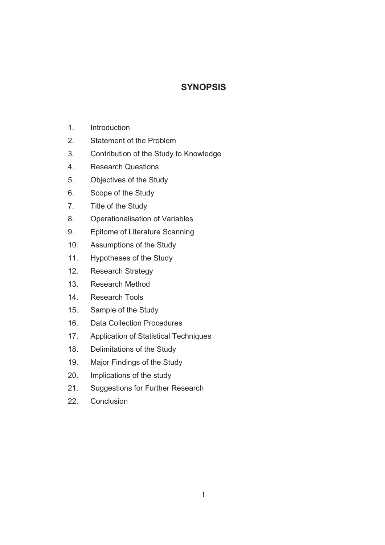# **SYNOPSIS**

- 1. Introduction
- 2. Statement of the Problem
- 3. Contribution of the Study to Knowledge
- 4. Research Questions
- 5. Objectives of the Study
- 6. Scope of the Study
- 7. Title of the Study
- 8. Operationalisation of Variables
- 9. Epitome of Literature Scanning
- 10. Assumptions of the Study
- 11. Hypotheses of the Study
- 12. Research Strategy
- 13. Research Method
- 14. Research Tools
- 15. Sample of the Study
- 16. Data Collection Procedures
- 17. Application of Statistical Techniques
- 18. Delimitations of the Study
- 19. Major Findings of the Study
- 20. Implications of the study
- 21. Suggestions for Further Research
- 22. Conclusion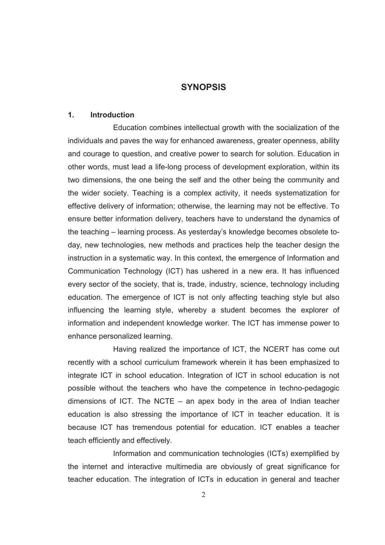# **SYNOPSIS**

#### **1. Introduction**

 Education combines intellectual growth with the socialization of the individuals and paves the way for enhanced awareness, greater openness, ability and courage to question, and creative power to search for solution. Education in other words, must lead a life-long process of development exploration, within its two dimensions, the one being the self and the other being the community and the wider society. Teaching is a complex activity, it needs systematization for effective delivery of information; otherwise, the learning may not be effective. To ensure better information delivery, teachers have to understand the dynamics of the teaching – learning process. As yesterday's knowledge becomes obsolete today, new technologies, new methods and practices help the teacher design the instruction in a systematic way. In this context, the emergence of Information and Communication Technology (ICT) has ushered in a new era. It has influenced every sector of the society, that is, trade, industry, science, technology including education. The emergence of ICT is not only affecting teaching style but also influencing the learning style, whereby a student becomes the explorer of information and independent knowledge worker. The ICT has immense power to enhance personalized learning.

 Having realized the importance of ICT, the NCERT has come out recently with a school curriculum framework wherein it has been emphasized to integrate ICT in school education. Integration of ICT in school education is not possible without the teachers who have the competence in techno-pedagogic dimensions of ICT. The NCTE – an apex body in the area of Indian teacher education is also stressing the importance of ICT in teacher education. It is because ICT has tremendous potential for education. ICT enables a teacher teach efficiently and effectively.

 Information and communication technologies (ICTs) exemplified by the internet and interactive multimedia are obviously of great significance for teacher education. The integration of ICTs in education in general and teacher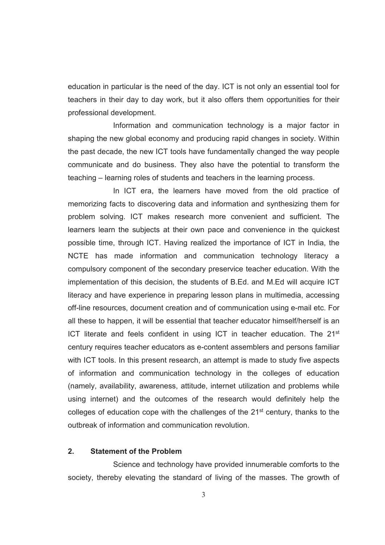education in particular is the need of the day. ICT is not only an essential tool for teachers in their day to day work, but it also offers them opportunities for their professional development.

 Information and communication technology is a major factor in shaping the new global economy and producing rapid changes in society. Within the past decade, the new ICT tools have fundamentally changed the way people communicate and do business. They also have the potential to transform the teaching – learning roles of students and teachers in the learning process.

 In ICT era, the learners have moved from the old practice of memorizing facts to discovering data and information and synthesizing them for problem solving. ICT makes research more convenient and sufficient. The learners learn the subjects at their own pace and convenience in the quickest possible time, through ICT. Having realized the importance of ICT in India, the NCTE has made information and communication technology literacy a compulsory component of the secondary preservice teacher education. With the implementation of this decision, the students of B.Ed. and M.Ed will acquire ICT literacy and have experience in preparing lesson plans in multimedia, accessing off-line resources, document creation and of communication using e-mail etc. For all these to happen, it will be essential that teacher educator himself/herself is an ICT literate and feels confident in using ICT in teacher education. The 21<sup>st</sup> century requires teacher educators as e-content assemblers and persons familiar with ICT tools. In this present research, an attempt is made to study five aspects of information and communication technology in the colleges of education (namely, availability, awareness, attitude, internet utilization and problems while using internet) and the outcomes of the research would definitely help the colleges of education cope with the challenges of the  $21<sup>st</sup>$  century, thanks to the outbreak of information and communication revolution.

#### **2. Statement of the Problem**

 Science and technology have provided innumerable comforts to the society, thereby elevating the standard of living of the masses. The growth of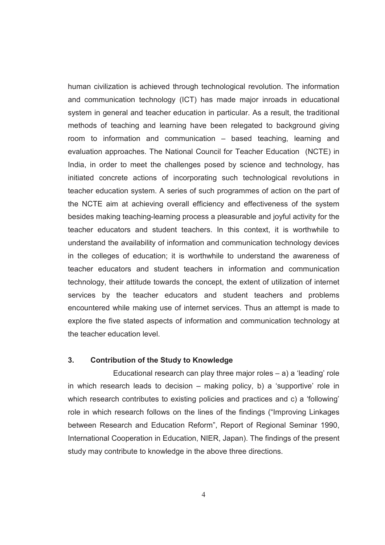human civilization is achieved through technological revolution. The information and communication technology (ICT) has made major inroads in educational system in general and teacher education in particular. As a result, the traditional methods of teaching and learning have been relegated to background giving room to information and communication – based teaching, learning and evaluation approaches. The National Council for Teacher Education (NCTE) in India, in order to meet the challenges posed by science and technology, has initiated concrete actions of incorporating such technological revolutions in teacher education system. A series of such programmes of action on the part of the NCTE aim at achieving overall efficiency and effectiveness of the system besides making teaching-learning process a pleasurable and joyful activity for the teacher educators and student teachers. In this context, it is worthwhile to understand the availability of information and communication technology devices in the colleges of education; it is worthwhile to understand the awareness of teacher educators and student teachers in information and communication technology, their attitude towards the concept, the extent of utilization of internet services by the teacher educators and student teachers and problems encountered while making use of internet services. Thus an attempt is made to explore the five stated aspects of information and communication technology at the teacher education level.

#### **3. Contribution of the Study to Knowledge**

Educational research can play three major roles  $-$  a) a 'leading' role in which research leads to decision – making policy, b) a 'supportive' role in which research contributes to existing policies and practices and c) a 'following' role in which research follows on the lines of the findings ("Improving Linkages between Research and Education Reform", Report of Regional Seminar 1990, International Cooperation in Education, NIER, Japan). The findings of the present study may contribute to knowledge in the above three directions.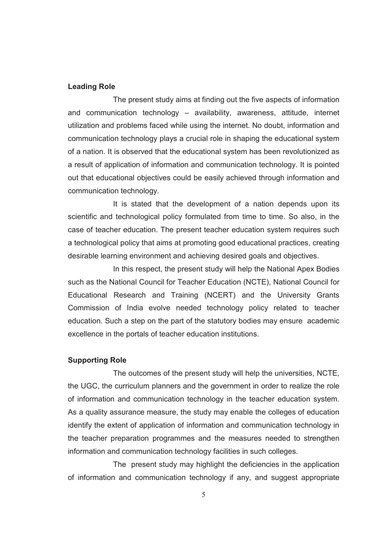#### **Leading Role**

 The present study aims at finding out the five aspects of information and communication technology – availability, awareness, attitude, internet utilization and problems faced while using the internet. No doubt, information and communication technology plays a crucial role in shaping the educational system of a nation. It is observed that the educational system has been revolutionized as a result of application of information and communication technology. It is pointed out that educational objectives could be easily achieved through information and communication technology.

 It is stated that the development of a nation depends upon its scientific and technological policy formulated from time to time. So also, in the case of teacher education. The present teacher education system requires such a technological policy that aims at promoting good educational practices, creating desirable learning environment and achieving desired goals and objectives.

 In this respect, the present study will help the National Apex Bodies such as the National Council for Teacher Education (NCTE), National Council for Educational Research and Training (NCERT) and the University Grants Commission of India evolve needed technology policy related to teacher education. Such a step on the part of the statutory bodies may ensure academic excellence in the portals of teacher education institutions.

#### **Supporting Role**

 The outcomes of the present study will help the universities, NCTE, the UGC, the curriculum planners and the government in order to realize the role of information and communication technology in the teacher education system. As a quality assurance measure, the study may enable the colleges of education identify the extent of application of information and communication technology in the teacher preparation programmes and the measures needed to strengthen information and communication technology facilities in such colleges.

 The present study may highlight the deficiencies in the application of information and communication technology if any, and suggest appropriate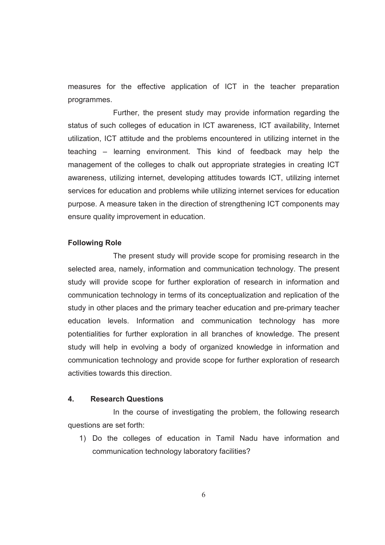measures for the effective application of ICT in the teacher preparation programmes.

 Further, the present study may provide information regarding the status of such colleges of education in ICT awareness, ICT availability, Internet utilization, ICT attitude and the problems encountered in utilizing internet in the teaching – learning environment. This kind of feedback may help the management of the colleges to chalk out appropriate strategies in creating ICT awareness, utilizing internet, developing attitudes towards ICT, utilizing internet services for education and problems while utilizing internet services for education purpose. A measure taken in the direction of strengthening ICT components may ensure quality improvement in education.

#### **Following Role**

 The present study will provide scope for promising research in the selected area, namely, information and communication technology. The present study will provide scope for further exploration of research in information and communication technology in terms of its conceptualization and replication of the study in other places and the primary teacher education and pre-primary teacher education levels. Information and communication technology has more potentialities for further exploration in all branches of knowledge. The present study will help in evolving a body of organized knowledge in information and communication technology and provide scope for further exploration of research activities towards this direction.

#### **4. Research Questions**

 In the course of investigating the problem, the following research questions are set forth:

1) Do the colleges of education in Tamil Nadu have information and communication technology laboratory facilities?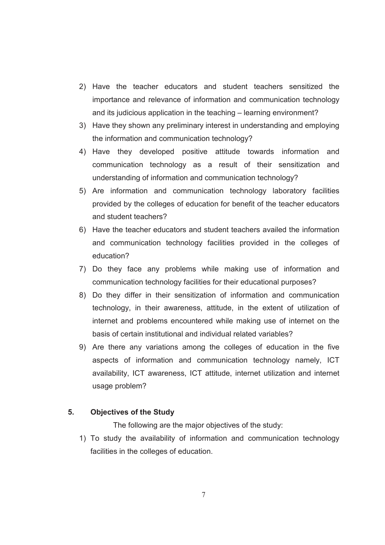- 2) Have the teacher educators and student teachers sensitized the importance and relevance of information and communication technology and its judicious application in the teaching – learning environment?
- 3) Have they shown any preliminary interest in understanding and employing the information and communication technology?
- 4) Have they developed positive attitude towards information and communication technology as a result of their sensitization and understanding of information and communication technology?
- 5) Are information and communication technology laboratory facilities provided by the colleges of education for benefit of the teacher educators and student teachers?
- 6) Have the teacher educators and student teachers availed the information and communication technology facilities provided in the colleges of education?
- 7) Do they face any problems while making use of information and communication technology facilities for their educational purposes?
- 8) Do they differ in their sensitization of information and communication technology, in their awareness, attitude, in the extent of utilization of internet and problems encountered while making use of internet on the basis of certain institutional and individual related variables?
- 9) Are there any variations among the colleges of education in the five aspects of information and communication technology namely, ICT availability, ICT awareness, ICT attitude, internet utilization and internet usage problem?

# **5. Objectives of the Study**

The following are the major objectives of the study:

1) To study the availability of information and communication technology facilities in the colleges of education.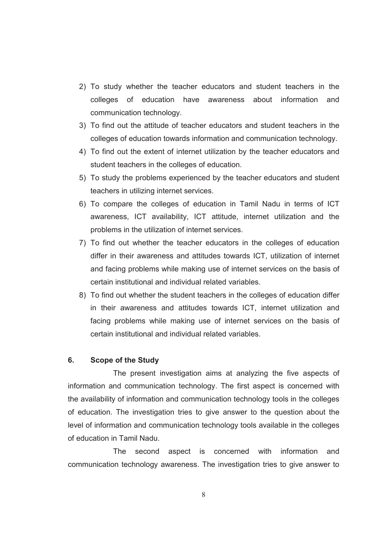- 2) To study whether the teacher educators and student teachers in the colleges of education have awareness about information and communication technology.
- 3) To find out the attitude of teacher educators and student teachers in the colleges of education towards information and communication technology.
- 4) To find out the extent of internet utilization by the teacher educators and student teachers in the colleges of education.
- 5) To study the problems experienced by the teacher educators and student teachers in utilizing internet services.
- 6) To compare the colleges of education in Tamil Nadu in terms of ICT awareness, ICT availability, ICT attitude, internet utilization and the problems in the utilization of internet services.
- 7) To find out whether the teacher educators in the colleges of education differ in their awareness and attitudes towards ICT, utilization of internet and facing problems while making use of internet services on the basis of certain institutional and individual related variables.
- 8) To find out whether the student teachers in the colleges of education differ in their awareness and attitudes towards ICT, internet utilization and facing problems while making use of internet services on the basis of certain institutional and individual related variables.

#### **6. Scope of the Study**

 The present investigation aims at analyzing the five aspects of information and communication technology. The first aspect is concerned with the availability of information and communication technology tools in the colleges of education. The investigation tries to give answer to the question about the level of information and communication technology tools available in the colleges of education in Tamil Nadu.

 The second aspect is concerned with information and communication technology awareness. The investigation tries to give answer to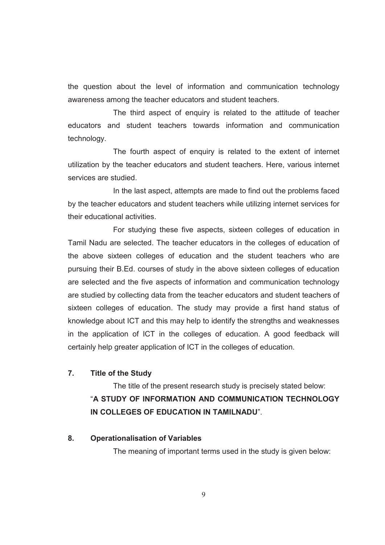the question about the level of information and communication technology awareness among the teacher educators and student teachers.

The third aspect of enquiry is related to the attitude of teacher educators and student teachers towards information and communication technology.

 The fourth aspect of enquiry is related to the extent of internet utilization by the teacher educators and student teachers. Here, various internet services are studied.

 In the last aspect, attempts are made to find out the problems faced by the teacher educators and student teachers while utilizing internet services for their educational activities.

 For studying these five aspects, sixteen colleges of education in Tamil Nadu are selected. The teacher educators in the colleges of education of the above sixteen colleges of education and the student teachers who are pursuing their B.Ed. courses of study in the above sixteen colleges of education are selected and the five aspects of information and communication technology are studied by collecting data from the teacher educators and student teachers of sixteen colleges of education. The study may provide a first hand status of knowledge about ICT and this may help to identify the strengths and weaknesses in the application of ICT in the colleges of education. A good feedback will certainly help greater application of ICT in the colleges of education.

# **7. Title of the Study**

 The title of the present research study is precisely stated below: "**A STUDY OF INFORMATION AND COMMUNICATION TECHNOLOGY IN COLLEGES OF EDUCATION IN TAMILNADU**".

#### **8. Operationalisation of Variables**

The meaning of important terms used in the study is given below: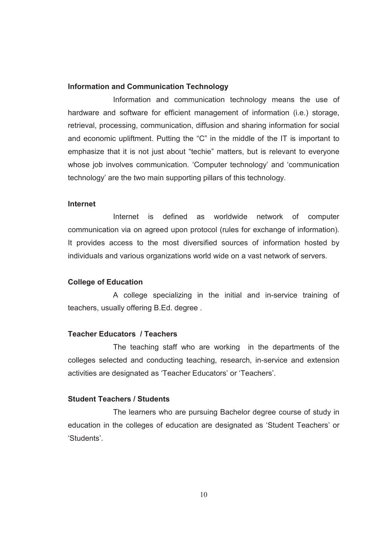#### **Information and Communication Technology**

 Information and communication technology means the use of hardware and software for efficient management of information (i.e.) storage, retrieval, processing, communication, diffusion and sharing information for social and economic upliftment. Putting the "C" in the middle of the IT is important to emphasize that it is not just about "techie" matters, but is relevant to everyone whose job involves communication. 'Computer technology' and 'communication technology' are the two main supporting pillars of this technology.

#### **Internet**

 Internet is defined as worldwide network of computer communication via on agreed upon protocol (rules for exchange of information). It provides access to the most diversified sources of information hosted by individuals and various organizations world wide on a vast network of servers.

#### **College of Education**

 A college specializing in the initial and in-service training of teachers, usually offering B.Ed. degree .

#### **Teacher Educators / Teachers**

The teaching staff who are working in the departments of the colleges selected and conducting teaching, research, in-service and extension activities are designated as 'Teacher Educators' or 'Teachers'.

# **Student Teachers / Students**

 The learners who are pursuing Bachelor degree course of study in education in the colleges of education are designated as 'Student Teachers' or 'Students'.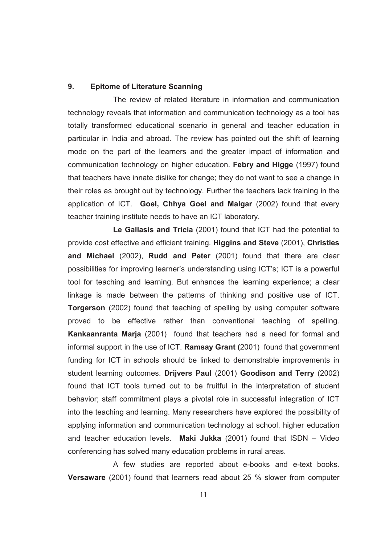#### **9. Epitome of Literature Scanning**

 The review of related literature in information and communication technology reveals that information and communication technology as a tool has totally transformed educational scenario in general and teacher education in particular in India and abroad. The review has pointed out the shift of learning mode on the part of the learners and the greater impact of information and communication technology on higher education. **Febry and Higge** (1997) found that teachers have innate dislike for change; they do not want to see a change in their roles as brought out by technology. Further the teachers lack training in the application of ICT. **Goel, Chhya Goel and Malgar** (2002) found that every teacher training institute needs to have an ICT laboratory.

 **Le Gallasis and Tricia** (2001) found that ICT had the potential to provide cost effective and efficient training. **Higgins and Steve** (2001), **Christies and Michael** (2002), **Rudd and Peter** (2001) found that there are clear possibilities for improving learner's understanding using ICT's; ICT is a powerful tool for teaching and learning. But enhances the learning experience; a clear linkage is made between the patterns of thinking and positive use of ICT. **Torgerson** (2002) found that teaching of spelling by using computer software proved to be effective rather than conventional teaching of spelling. **Kankaanranta Marja** (2001) found that teachers had a need for formal and informal support in the use of ICT. **Ramsay Grant (**2001) found that government funding for ICT in schools should be linked to demonstrable improvements in student learning outcomes. **Drijvers Paul** (2001) **Goodison and Terry** (2002) found that ICT tools turned out to be fruitful in the interpretation of student behavior; staff commitment plays a pivotal role in successful integration of ICT into the teaching and learning. Many researchers have explored the possibility of applying information and communication technology at school, higher education and teacher education levels. **Maki Jukka** (2001) found that ISDN – Video conferencing has solved many education problems in rural areas.

 A few studies are reported about e-books and e-text books. **Versaware** (2001) found that learners read about 25 % slower from computer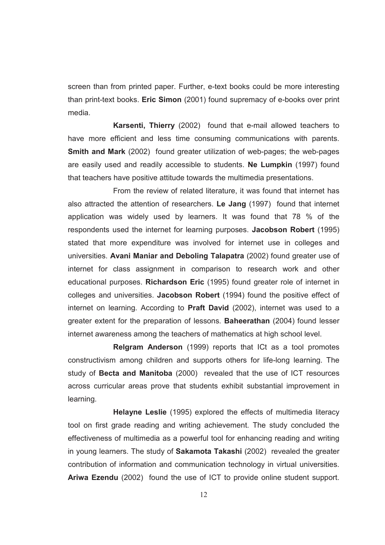screen than from printed paper. Further, e-text books could be more interesting than print-text books. **Eric Simon** (2001) found supremacy of e-books over print media.

 **Karsenti, Thierry** (2002) found that e-mail allowed teachers to have more efficient and less time consuming communications with parents. **Smith and Mark** (2002) found greater utilization of web-pages; the web-pages are easily used and readily accessible to students. **Ne Lumpkin** (1997) found that teachers have positive attitude towards the multimedia presentations.

 From the review of related literature, it was found that internet has also attracted the attention of researchers. **Le Jang** (1997) found that internet application was widely used by learners. It was found that 78 % of the respondents used the internet for learning purposes. **Jacobson Robert** (1995) stated that more expenditure was involved for internet use in colleges and universities. **Avani Maniar and Deboling Talapatra** (2002) found greater use of internet for class assignment in comparison to research work and other educational purposes. **Richardson Eric** (1995) found greater role of internet in colleges and universities. **Jacobson Robert** (1994) found the positive effect of internet on learning. According to **Praft David** (2002), internet was used to a greater extent for the preparation of lessons. **Baheerathan** (2004) found lesser internet awareness among the teachers of mathematics at high school level.

 **Relgram Anderson** (1999) reports that ICt as a tool promotes constructivism among children and supports others for life-long learning. The study of **Becta and Manitoba** (2000) revealed that the use of ICT resources across curricular areas prove that students exhibit substantial improvement in learning.

 **Helayne Leslie** (1995) explored the effects of multimedia literacy tool on first grade reading and writing achievement. The study concluded the effectiveness of multimedia as a powerful tool for enhancing reading and writing in young learners. The study of **Sakamota Takashi** (2002) revealed the greater contribution of information and communication technology in virtual universities. **Ariwa Ezendu** (2002) found the use of ICT to provide online student support.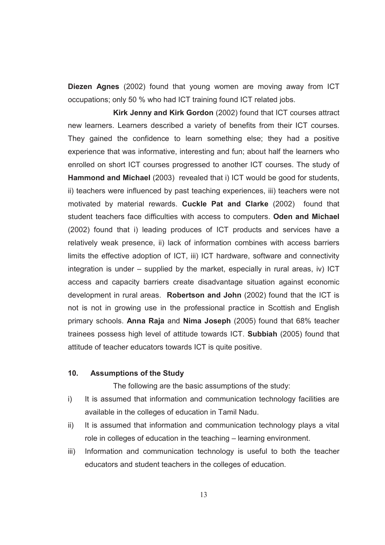**Diezen Agnes** (2002) found that young women are moving away from ICT occupations; only 50 % who had ICT training found ICT related jobs.

 **Kirk Jenny and Kirk Gordon** (2002) found that ICT courses attract new learners. Learners described a variety of benefits from their ICT courses. They gained the confidence to learn something else; they had a positive experience that was informative, interesting and fun; about half the learners who enrolled on short ICT courses progressed to another ICT courses. The study of **Hammond and Michael** (2003) revealed that i) ICT would be good for students, ii) teachers were influenced by past teaching experiences, iii) teachers were not motivated by material rewards. **Cuckle Pat and Clarke** (2002) found that student teachers face difficulties with access to computers. **Oden and Michael** (2002) found that i) leading produces of ICT products and services have a relatively weak presence, ii) lack of information combines with access barriers limits the effective adoption of ICT, iii) ICT hardware, software and connectivity integration is under – supplied by the market, especially in rural areas, iv) ICT access and capacity barriers create disadvantage situation against economic development in rural areas. **Robertson and John** (2002) found that the ICT is not is not in growing use in the professional practice in Scottish and English primary schools. **Anna Raja** and **Nima Joseph** (2005) found that 68% teacher trainees possess high level of attitude towards ICT. **Subbiah** (2005) found that attitude of teacher educators towards ICT is quite positive.

#### **10. Assumptions of the Study**

The following are the basic assumptions of the study:

- i) It is assumed that information and communication technology facilities are available in the colleges of education in Tamil Nadu.
- ii) It is assumed that information and communication technology plays a vital role in colleges of education in the teaching – learning environment.
- iii) Information and communication technology is useful to both the teacher educators and student teachers in the colleges of education.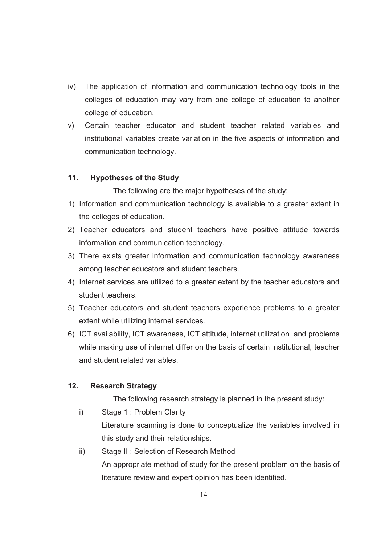- iv) The application of information and communication technology tools in the colleges of education may vary from one college of education to another college of education.
- v) Certain teacher educator and student teacher related variables and institutional variables create variation in the five aspects of information and communication technology.

## **11. Hypotheses of the Study**

The following are the major hypotheses of the study:

- 1) Information and communication technology is available to a greater extent in the colleges of education.
- 2) Teacher educators and student teachers have positive attitude towards information and communication technology.
- 3) There exists greater information and communication technology awareness among teacher educators and student teachers.
- 4) Internet services are utilized to a greater extent by the teacher educators and student teachers.
- 5) Teacher educators and student teachers experience problems to a greater extent while utilizing internet services.
- 6) ICT availability, ICT awareness, ICT attitude, internet utilization and problems while making use of internet differ on the basis of certain institutional, teacher and student related variables.

# **12. Research Strategy**

The following research strategy is planned in the present study:

- i) Stage 1 : Problem Clarity Literature scanning is done to conceptualize the variables involved in this study and their relationships.
- ii) Stage II : Selection of Research Method An appropriate method of study for the present problem on the basis of literature review and expert opinion has been identified.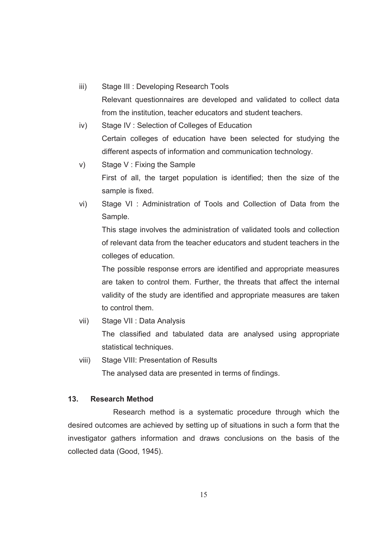iii) Stage III : Developing Research Tools

Relevant questionnaires are developed and validated to collect data from the institution, teacher educators and student teachers.

- iv) Stage IV : Selection of Colleges of Education Certain colleges of education have been selected for studying the different aspects of information and communication technology.
- v) Stage V : Fixing the Sample First of all, the target population is identified; then the size of the sample is fixed.
- vi) Stage VI : Administration of Tools and Collection of Data from the Sample.

This stage involves the administration of validated tools and collection of relevant data from the teacher educators and student teachers in the colleges of education.

The possible response errors are identified and appropriate measures are taken to control them. Further, the threats that affect the internal validity of the study are identified and appropriate measures are taken to control them.

vii) Stage VII : Data Analysis

The classified and tabulated data are analysed using appropriate statistical techniques.

viii) Stage VIII: Presentation of Results

The analysed data are presented in terms of findings.

## **13. Research Method**

 Research method is a systematic procedure through which the desired outcomes are achieved by setting up of situations in such a form that the investigator gathers information and draws conclusions on the basis of the collected data (Good, 1945).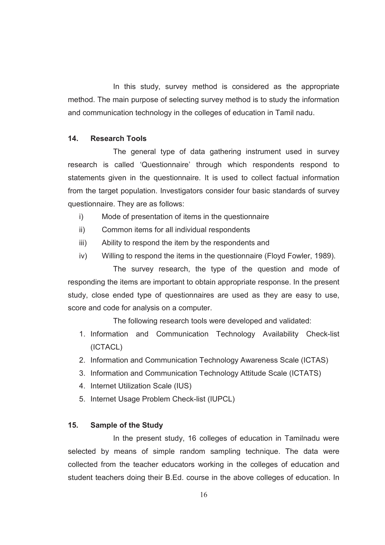In this study, survey method is considered as the appropriate method. The main purpose of selecting survey method is to study the information and communication technology in the colleges of education in Tamil nadu.

## **14. Research Tools**

 The general type of data gathering instrument used in survey research is called 'Questionnaire' through which respondents respond to statements given in the questionnaire. It is used to collect factual information from the target population. Investigators consider four basic standards of survey questionnaire. They are as follows:

- i) Mode of presentation of items in the questionnaire
- ii) Common items for all individual respondents
- iii) Ability to respond the item by the respondents and
- iv) Willing to respond the items in the questionnaire (Floyd Fowler, 1989).

 The survey research, the type of the question and mode of responding the items are important to obtain appropriate response. In the present study, close ended type of questionnaires are used as they are easy to use, score and code for analysis on a computer.

The following research tools were developed and validated:

- 1. Information and Communication Technology Availability Check-list (ICTACL)
- 2. Information and Communication Technology Awareness Scale (ICTAS)
- 3. Information and Communication Technology Attitude Scale (ICTATS)
- 4. Internet Utilization Scale (IUS)
- 5. Internet Usage Problem Check-list (IUPCL)

#### **15. Sample of the Study**

 In the present study, 16 colleges of education in Tamilnadu were selected by means of simple random sampling technique. The data were collected from the teacher educators working in the colleges of education and student teachers doing their B.Ed. course in the above colleges of education. In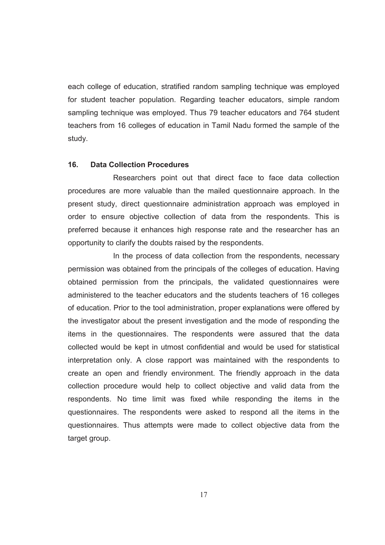each college of education, stratified random sampling technique was employed for student teacher population. Regarding teacher educators, simple random sampling technique was employed. Thus 79 teacher educators and 764 student teachers from 16 colleges of education in Tamil Nadu formed the sample of the study.

#### **16. Data Collection Procedures**

 Researchers point out that direct face to face data collection procedures are more valuable than the mailed questionnaire approach. In the present study, direct questionnaire administration approach was employed in order to ensure objective collection of data from the respondents. This is preferred because it enhances high response rate and the researcher has an opportunity to clarify the doubts raised by the respondents.

 In the process of data collection from the respondents, necessary permission was obtained from the principals of the colleges of education. Having obtained permission from the principals, the validated questionnaires were administered to the teacher educators and the students teachers of 16 colleges of education. Prior to the tool administration, proper explanations were offered by the investigator about the present investigation and the mode of responding the items in the questionnaires. The respondents were assured that the data collected would be kept in utmost confidential and would be used for statistical interpretation only. A close rapport was maintained with the respondents to create an open and friendly environment. The friendly approach in the data collection procedure would help to collect objective and valid data from the respondents. No time limit was fixed while responding the items in the questionnaires. The respondents were asked to respond all the items in the questionnaires. Thus attempts were made to collect objective data from the target group.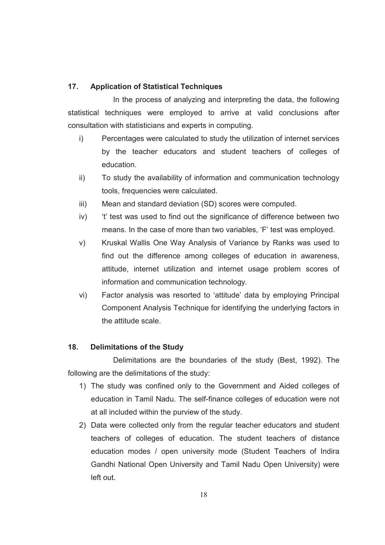# **17. Application of Statistical Techniques**

 In the process of analyzing and interpreting the data, the following statistical techniques were employed to arrive at valid conclusions after consultation with statisticians and experts in computing.

- i) Percentages were calculated to study the utilization of internet services by the teacher educators and student teachers of colleges of education.
- ii) To study the availability of information and communication technology tools, frequencies were calculated.
- iii) Mean and standard deviation (SD) scores were computed.
- iv) 't' test was used to find out the significance of difference between two means. In the case of more than two variables, 'F' test was employed.
- v) Kruskal Wallis One Way Analysis of Variance by Ranks was used to find out the difference among colleges of education in awareness, attitude, internet utilization and internet usage problem scores of information and communication technology.
- vi) Factor analysis was resorted to 'attitude' data by employing Principal Component Analysis Technique for identifying the underlying factors in the attitude scale.

# **18. Delimitations of the Study**

 Delimitations are the boundaries of the study (Best, 1992). The following are the delimitations of the study:

- 1) The study was confined only to the Government and Aided colleges of education in Tamil Nadu. The self-finance colleges of education were not at all included within the purview of the study.
- 2) Data were collected only from the regular teacher educators and student teachers of colleges of education. The student teachers of distance education modes / open university mode (Student Teachers of Indira Gandhi National Open University and Tamil Nadu Open University) were left out.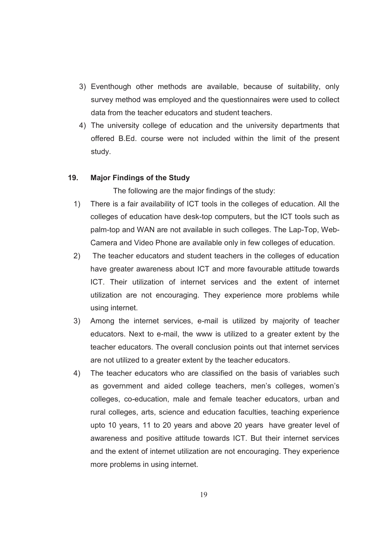- 3) Eventhough other methods are available, because of suitability, only survey method was employed and the questionnaires were used to collect data from the teacher educators and student teachers.
- 4) The university college of education and the university departments that offered B.Ed. course were not included within the limit of the present study.

#### **19. Major Findings of the Study**

The following are the major findings of the study:

- 1) There is a fair availability of ICT tools in the colleges of education. All the colleges of education have desk-top computers, but the ICT tools such as palm-top and WAN are not available in such colleges. The Lap-Top, Web-Camera and Video Phone are available only in few colleges of education.
- 2) The teacher educators and student teachers in the colleges of education have greater awareness about ICT and more favourable attitude towards ICT. Their utilization of internet services and the extent of internet utilization are not encouraging. They experience more problems while using internet.
- 3) Among the internet services, e-mail is utilized by majority of teacher educators. Next to e-mail, the www is utilized to a greater extent by the teacher educators. The overall conclusion points out that internet services are not utilized to a greater extent by the teacher educators.
- 4) The teacher educators who are classified on the basis of variables such as government and aided college teachers, men's colleges, women's colleges, co-education, male and female teacher educators, urban and rural colleges, arts, science and education faculties, teaching experience upto 10 years, 11 to 20 years and above 20 years have greater level of awareness and positive attitude towards ICT. But their internet services and the extent of internet utilization are not encouraging. They experience more problems in using internet.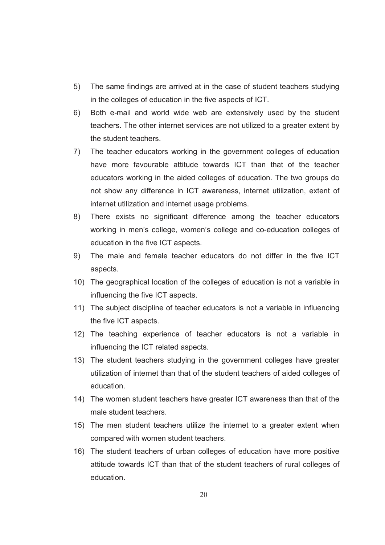- 5) The same findings are arrived at in the case of student teachers studying in the colleges of education in the five aspects of ICT.
- 6) Both e-mail and world wide web are extensively used by the student teachers. The other internet services are not utilized to a greater extent by the student teachers.
- 7) The teacher educators working in the government colleges of education have more favourable attitude towards ICT than that of the teacher educators working in the aided colleges of education. The two groups do not show any difference in ICT awareness, internet utilization, extent of internet utilization and internet usage problems.
- 8) There exists no significant difference among the teacher educators working in men's college, women's college and co-education colleges of education in the five ICT aspects.
- 9) The male and female teacher educators do not differ in the five ICT aspects.
- 10) The geographical location of the colleges of education is not a variable in influencing the five ICT aspects.
- 11) The subject discipline of teacher educators is not a variable in influencing the five ICT aspects.
- 12) The teaching experience of teacher educators is not a variable in influencing the ICT related aspects.
- 13) The student teachers studying in the government colleges have greater utilization of internet than that of the student teachers of aided colleges of education.
- 14) The women student teachers have greater ICT awareness than that of the male student teachers.
- 15) The men student teachers utilize the internet to a greater extent when compared with women student teachers.
- 16) The student teachers of urban colleges of education have more positive attitude towards ICT than that of the student teachers of rural colleges of education.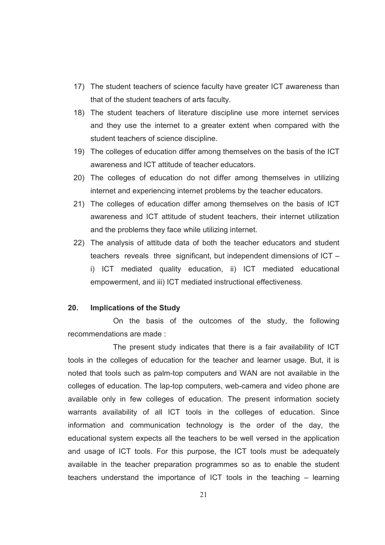- 17) The student teachers of science faculty have greater ICT awareness than that of the student teachers of arts faculty.
- 18) The student teachers of literature discipline use more internet services and they use the internet to a greater extent when compared with the student teachers of science discipline.
- 19) The colleges of education differ among themselves on the basis of the ICT awareness and ICT attitude of teacher educators.
- 20) The colleges of education do not differ among themselves in utilizing internet and experiencing internet problems by the teacher educators.
- 21) The colleges of education differ among themselves on the basis of ICT awareness and ICT attitude of student teachers, their internet utilization and the problems they face while utilizing internet.
- 22) The analysis of attitude data of both the teacher educators and student teachers reveals three significant, but independent dimensions of ICT – i) ICT mediated quality education, ii) ICT mediated educational empowerment, and iii) ICT mediated instructional effectiveness.

#### **20. Implications of the Study**

 On the basis of the outcomes of the study, the following recommendations are made :

 The present study indicates that there is a fair availability of ICT tools in the colleges of education for the teacher and learner usage. But, it is noted that tools such as palm-top computers and WAN are not available in the colleges of education. The lap-top computers, web-camera and video phone are available only in few colleges of education. The present information society warrants availability of all ICT tools in the colleges of education. Since information and communication technology is the order of the day, the educational system expects all the teachers to be well versed in the application and usage of ICT tools. For this purpose, the ICT tools must be adequately available in the teacher preparation programmes so as to enable the student teachers understand the importance of ICT tools in the teaching – learning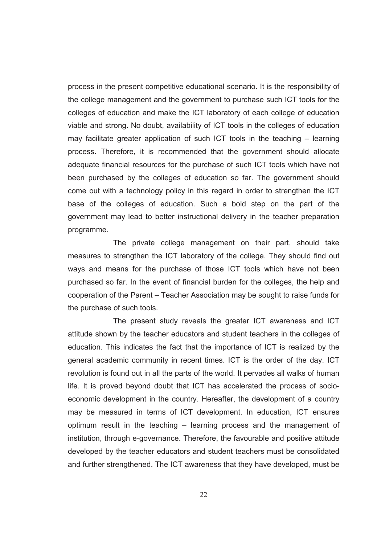process in the present competitive educational scenario. It is the responsibility of the college management and the government to purchase such ICT tools for the colleges of education and make the ICT laboratory of each college of education viable and strong. No doubt, availability of ICT tools in the colleges of education may facilitate greater application of such ICT tools in the teaching – learning process. Therefore, it is recommended that the government should allocate adequate financial resources for the purchase of such ICT tools which have not been purchased by the colleges of education so far. The government should come out with a technology policy in this regard in order to strengthen the ICT base of the colleges of education. Such a bold step on the part of the government may lead to better instructional delivery in the teacher preparation programme.

 The private college management on their part, should take measures to strengthen the ICT laboratory of the college. They should find out ways and means for the purchase of those ICT tools which have not been purchased so far. In the event of financial burden for the colleges, the help and cooperation of the Parent – Teacher Association may be sought to raise funds for the purchase of such tools.

 The present study reveals the greater ICT awareness and ICT attitude shown by the teacher educators and student teachers in the colleges of education. This indicates the fact that the importance of ICT is realized by the general academic community in recent times. ICT is the order of the day. ICT revolution is found out in all the parts of the world. It pervades all walks of human life. It is proved beyond doubt that ICT has accelerated the process of socioeconomic development in the country. Hereafter, the development of a country may be measured in terms of ICT development. In education, ICT ensures optimum result in the teaching – learning process and the management of institution, through e-governance. Therefore, the favourable and positive attitude developed by the teacher educators and student teachers must be consolidated and further strengthened. The ICT awareness that they have developed, must be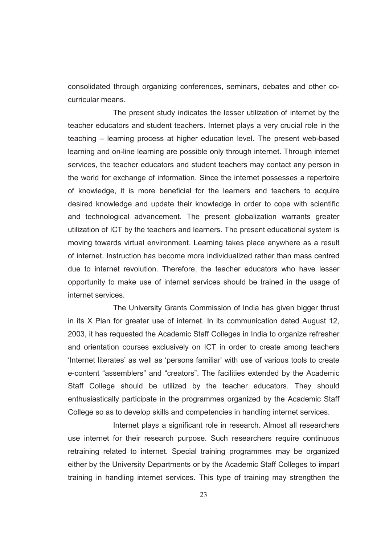consolidated through organizing conferences, seminars, debates and other cocurricular means.

 The present study indicates the lesser utilization of internet by the teacher educators and student teachers. Internet plays a very crucial role in the teaching – learning process at higher education level. The present web-based learning and on-line learning are possible only through internet. Through internet services, the teacher educators and student teachers may contact any person in the world for exchange of information. Since the internet possesses a repertoire of knowledge, it is more beneficial for the learners and teachers to acquire desired knowledge and update their knowledge in order to cope with scientific and technological advancement. The present globalization warrants greater utilization of ICT by the teachers and learners. The present educational system is moving towards virtual environment. Learning takes place anywhere as a result of internet. Instruction has become more individualized rather than mass centred due to internet revolution. Therefore, the teacher educators who have lesser opportunity to make use of internet services should be trained in the usage of internet services.

 The University Grants Commission of India has given bigger thrust in its X Plan for greater use of internet. In its communication dated August 12, 2003, it has requested the Academic Staff Colleges in India to organize refresher and orientation courses exclusively on ICT in order to create among teachers 'Internet literates' as well as 'persons familiar' with use of various tools to create e-content "assemblers" and "creators". The facilities extended by the Academic Staff College should be utilized by the teacher educators. They should enthusiastically participate in the programmes organized by the Academic Staff College so as to develop skills and competencies in handling internet services.

 Internet plays a significant role in research. Almost all researchers use internet for their research purpose. Such researchers require continuous retraining related to internet. Special training programmes may be organized either by the University Departments or by the Academic Staff Colleges to impart training in handling internet services. This type of training may strengthen the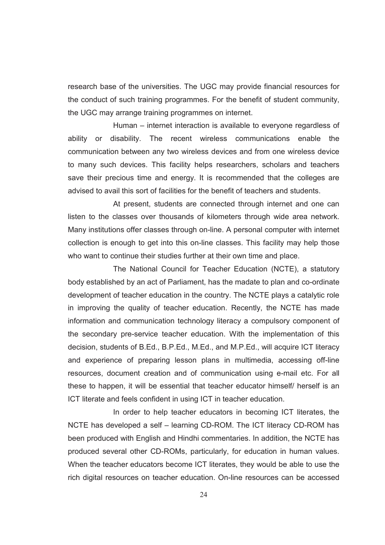research base of the universities. The UGC may provide financial resources for the conduct of such training programmes. For the benefit of student community, the UGC may arrange training programmes on internet.

 Human – internet interaction is available to everyone regardless of ability or disability. The recent wireless communications enable the communication between any two wireless devices and from one wireless device to many such devices. This facility helps researchers, scholars and teachers save their precious time and energy. It is recommended that the colleges are advised to avail this sort of facilities for the benefit of teachers and students.

 At present, students are connected through internet and one can listen to the classes over thousands of kilometers through wide area network. Many institutions offer classes through on-line. A personal computer with internet collection is enough to get into this on-line classes. This facility may help those who want to continue their studies further at their own time and place.

 The National Council for Teacher Education (NCTE), a statutory body established by an act of Parliament, has the madate to plan and co-ordinate development of teacher education in the country. The NCTE plays a catalytic role in improving the quality of teacher education. Recently, the NCTE has made information and communication technology literacy a compulsory component of the secondary pre-service teacher education. With the implementation of this decision, students of B.Ed., B.P.Ed., M.Ed., and M.P.Ed., will acquire ICT literacy and experience of preparing lesson plans in multimedia, accessing off-line resources, document creation and of communication using e-mail etc. For all these to happen, it will be essential that teacher educator himself/ herself is an ICT literate and feels confident in using ICT in teacher education.

 In order to help teacher educators in becoming ICT literates, the NCTE has developed a self – learning CD-ROM. The ICT literacy CD-ROM has been produced with English and Hindhi commentaries. In addition, the NCTE has produced several other CD-ROMs, particularly, for education in human values. When the teacher educators become ICT literates, they would be able to use the rich digital resources on teacher education. On-line resources can be accessed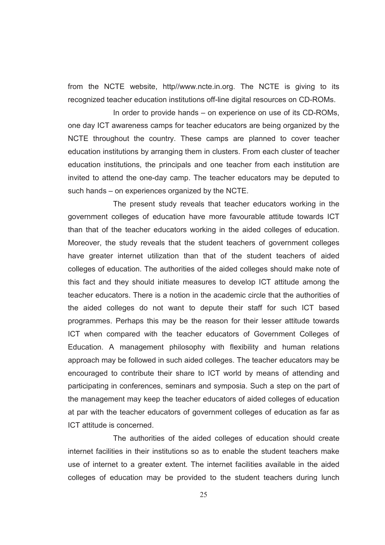from the NCTE website, http//www.ncte.in.org. The NCTE is giving to its recognized teacher education institutions off-line digital resources on CD-ROMs.

 In order to provide hands – on experience on use of its CD-ROMs, one day ICT awareness camps for teacher educators are being organized by the NCTE throughout the country. These camps are planned to cover teacher education institutions by arranging them in clusters. From each cluster of teacher education institutions, the principals and one teacher from each institution are invited to attend the one-day camp. The teacher educators may be deputed to such hands – on experiences organized by the NCTE.

 The present study reveals that teacher educators working in the government colleges of education have more favourable attitude towards ICT than that of the teacher educators working in the aided colleges of education. Moreover, the study reveals that the student teachers of government colleges have greater internet utilization than that of the student teachers of aided colleges of education. The authorities of the aided colleges should make note of this fact and they should initiate measures to develop ICT attitude among the teacher educators. There is a notion in the academic circle that the authorities of the aided colleges do not want to depute their staff for such ICT based programmes. Perhaps this may be the reason for their lesser attitude towards ICT when compared with the teacher educators of Government Colleges of Education. A management philosophy with flexibility and human relations approach may be followed in such aided colleges. The teacher educators may be encouraged to contribute their share to ICT world by means of attending and participating in conferences, seminars and symposia. Such a step on the part of the management may keep the teacher educators of aided colleges of education at par with the teacher educators of government colleges of education as far as ICT attitude is concerned.

 The authorities of the aided colleges of education should create internet facilities in their institutions so as to enable the student teachers make use of internet to a greater extent. The internet facilities available in the aided colleges of education may be provided to the student teachers during lunch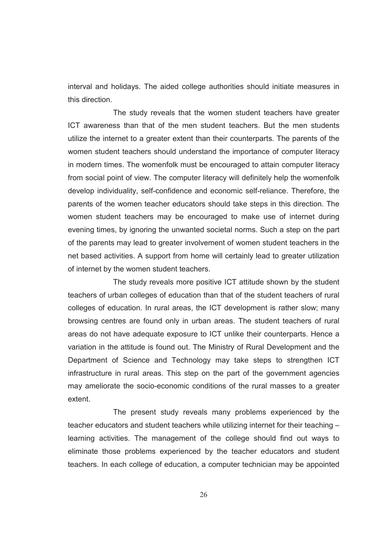interval and holidays. The aided college authorities should initiate measures in this direction.

 The study reveals that the women student teachers have greater ICT awareness than that of the men student teachers. But the men students utilize the internet to a greater extent than their counterparts. The parents of the women student teachers should understand the importance of computer literacy in modern times. The womenfolk must be encouraged to attain computer literacy from social point of view. The computer literacy will definitely help the womenfolk develop individuality, self-confidence and economic self-reliance. Therefore, the parents of the women teacher educators should take steps in this direction. The women student teachers may be encouraged to make use of internet during evening times, by ignoring the unwanted societal norms. Such a step on the part of the parents may lead to greater involvement of women student teachers in the net based activities. A support from home will certainly lead to greater utilization of internet by the women student teachers.

 The study reveals more positive ICT attitude shown by the student teachers of urban colleges of education than that of the student teachers of rural colleges of education. In rural areas, the ICT development is rather slow; many browsing centres are found only in urban areas. The student teachers of rural areas do not have adequate exposure to ICT unlike their counterparts. Hence a variation in the attitude is found out. The Ministry of Rural Development and the Department of Science and Technology may take steps to strengthen ICT infrastructure in rural areas. This step on the part of the government agencies may ameliorate the socio-economic conditions of the rural masses to a greater extent.

 The present study reveals many problems experienced by the teacher educators and student teachers while utilizing internet for their teaching – learning activities. The management of the college should find out ways to eliminate those problems experienced by the teacher educators and student teachers. In each college of education, a computer technician may be appointed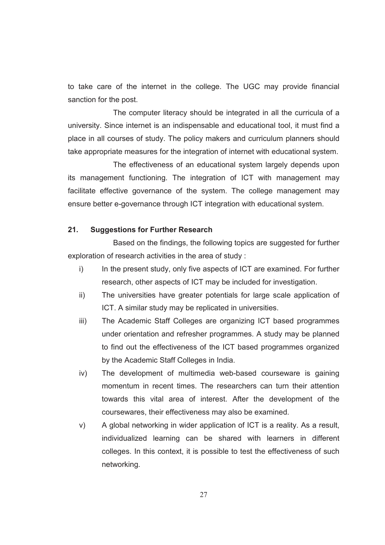to take care of the internet in the college. The UGC may provide financial sanction for the post.

 The computer literacy should be integrated in all the curricula of a university. Since internet is an indispensable and educational tool, it must find a place in all courses of study. The policy makers and curriculum planners should take appropriate measures for the integration of internet with educational system.

 The effectiveness of an educational system largely depends upon its management functioning. The integration of ICT with management may facilitate effective governance of the system. The college management may ensure better e-governance through ICT integration with educational system.

## **21. Suggestions for Further Research**

 Based on the findings, the following topics are suggested for further exploration of research activities in the area of study :

- i) In the present study, only five aspects of ICT are examined. For further research, other aspects of ICT may be included for investigation.
- ii) The universities have greater potentials for large scale application of ICT. A similar study may be replicated in universities.
- iii) The Academic Staff Colleges are organizing ICT based programmes under orientation and refresher programmes. A study may be planned to find out the effectiveness of the ICT based programmes organized by the Academic Staff Colleges in India.
- iv) The development of multimedia web-based courseware is gaining momentum in recent times. The researchers can turn their attention towards this vital area of interest. After the development of the coursewares, their effectiveness may also be examined.
- v) A global networking in wider application of ICT is a reality. As a result, individualized learning can be shared with learners in different colleges. In this context, it is possible to test the effectiveness of such networking.